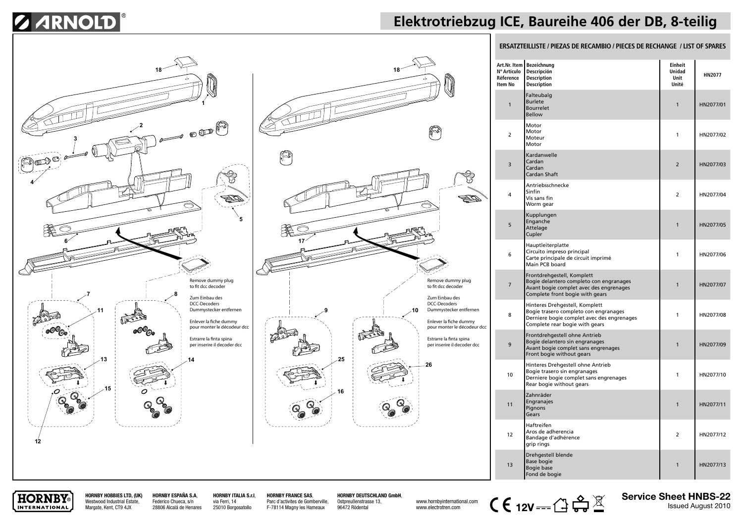# **Z ARNOLD**

## **Elektrotriebzug ICE, Baureihe 406 der DB, 8-teilig**





### **ERSATZTEILLISTE / PIEZAS DE RECAMBIO / PIECES DE RECHANGE / LIST OF SPARES**

| Art.Nr. Item<br>Nº Artículo<br>Réference<br><b>Item No</b> | Bezeichnung<br>Descripción<br><b>Description</b><br><b>Description</b>                                                                                  | Einheit<br><b>Unidad</b><br>Unit<br>Unité | <b>HN2077</b> |
|------------------------------------------------------------|---------------------------------------------------------------------------------------------------------------------------------------------------------|-------------------------------------------|---------------|
| $\mathbf{1}$                                               | Falteubalg<br><b>Burlete</b><br><b>Bourrelet</b><br><b>Bellow</b>                                                                                       | 1                                         | HN2077/01     |
| $\overline{2}$                                             | Motor<br>Motor<br>Moteur<br>Motor                                                                                                                       | 1                                         | HN2077/02     |
| 3                                                          | Kardanwelle<br>Cardan<br>Cardan<br>Cardan Shaft                                                                                                         | $\overline{2}$                            | HN2077/03     |
| 4                                                          | Antriebsschnecke<br>Sinfín<br>Vis sans fin<br>Worm gear                                                                                                 | 2                                         | HN2077/04     |
| 5                                                          | Kupplungen<br>Enganche<br>Attelage<br>Cupler                                                                                                            | 1                                         | HN2077/05     |
| 6                                                          | Hauptleiterplatte<br>Circuito impreso principal<br>Carte principale de circuit imprimé<br>Main PCB board                                                | 1                                         | HN2077/06     |
| $\overline{7}$                                             | Frontdrehgestell, Komplett<br>Bogie delantero completo con engranages<br>Avant bogie complet avec des engrenages<br>Complete front bogie with gears     | 1                                         | HN2077/07     |
| 8                                                          | Hinteres Drehgestell, Komplett<br>Bogie trasero completo con engranages<br>Derniere bogie complet avec des engrenages<br>Complete rear bogie with gears | 1                                         | HN2077/08     |
| 9                                                          | Frontdrehgestell ohne Antrieb<br>Bogie delantero sin engranages<br>Avant bogie complet sans engrenages<br>Front bogie without gears                     | 1                                         | HN2077/09     |
| 10                                                         | Hinteres Drehgestell ohne Antrieb<br>Bogie trasero sin engranages<br>Derniere bogie complet sans engrenages<br>Rear bogie without gears                 | 1                                         | HN2077/10     |
| 11                                                         | Zahnräder<br>Engranajes<br>Pignons<br>Gears                                                                                                             | 1                                         | HN2077/11     |
| 12                                                         | Haftreifen<br>Aros de adherencia<br>Bandage d'adhérence<br>grip rings                                                                                   | 2                                         | HN2077/12     |
| 13                                                         | Drehgestell blende<br>Base bogie<br>Bogie base<br>Fond de bogie                                                                                         | 1                                         | HN2077/13     |



**HORNBY HOBBIES LTD, (UK)** Westwood Industrial Estate, Margate, Kent, CT9 4JX

**HORNBY ESPAÑA S.A**, Federico Chueca, s/n 28806 Alcalá de Henares **HORNBY ITALIA S.r.l**, via Ferri, 14 25010 Borgosatollo

**HORNBY FRANCE SAS**, Parc d'activites de Gomberville, F-78114 Magny les Hameaux

**HORNBY DEUTSCHLAND GmbH**,

Ostpreußenstrasse 13, 96472 Rödental

www.electrotren.com



**Service Sheet HNBS-22**<br>Issued August 2010